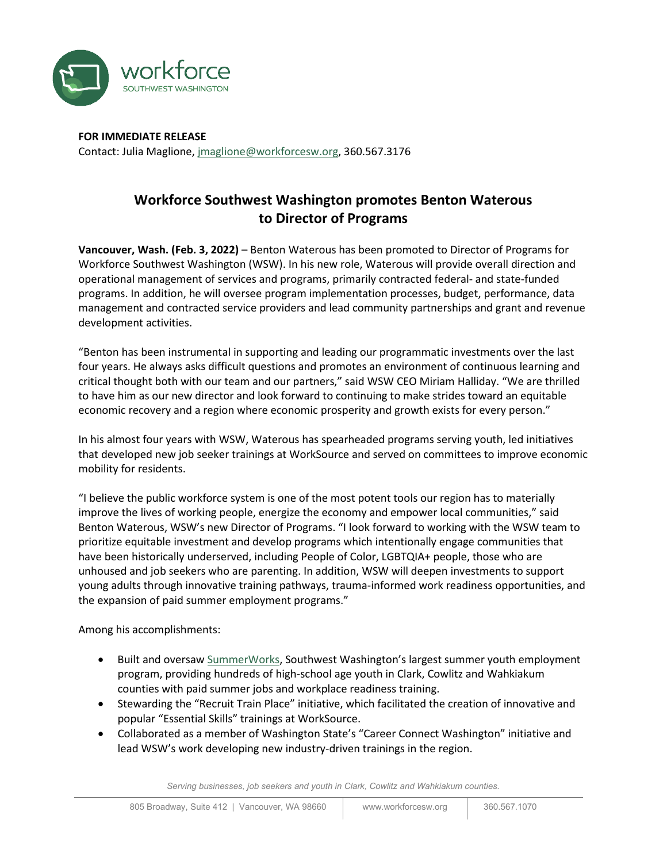

**FOR IMMEDIATE RELEASE** Contact: Julia Maglione[, jmaglione@workforcesw.org,](mailto:jmaglione@workforcesw.org) 360.567.3176

## **Workforce Southwest Washington promotes Benton Waterous to Director of Programs**

**Vancouver, Wash. (Feb. 3, 2022)** – Benton Waterous has been promoted to Director of Programs for Workforce Southwest Washington (WSW). In his new role, Waterous will provide overall direction and operational management of services and programs, primarily contracted federal- and state-funded programs. In addition, he will oversee program implementation processes, budget, performance, data management and contracted service providers and lead community partnerships and grant and revenue development activities.

"Benton has been instrumental in supporting and leading our programmatic investments over the last four years. He always asks difficult questions and promotes an environment of continuous learning and critical thought both with our team and our partners," said WSW CEO Miriam Halliday. "We are thrilled to have him as our new director and look forward to continuing to make strides toward an equitable economic recovery and a region where economic prosperity and growth exists for every person."

In his almost four years with WSW, Waterous has spearheaded programs serving youth, led initiatives that developed new job seeker trainings at WorkSource and served on committees to improve economic mobility for residents.

"I believe the public workforce system is one of the most potent tools our region has to materially improve the lives of working people, energize the economy and empower local communities," said Benton Waterous, WSW's new Director of Programs. "I look forward to working with the WSW team to prioritize equitable investment and develop programs which intentionally engage communities that have been historically underserved, including People of Color, LGBTQIA+ people, those who are unhoused and job seekers who are parenting. In addition, WSW will deepen investments to support young adults through innovative training pathways, trauma-informed work readiness opportunities, and the expansion of paid summer employment programs."

Among his accomplishments:

- Built and oversaw [SummerWorks,](https://workforcesw.org/investments/business-resources#young-people) Southwest Washington's largest summer youth employment program, providing hundreds of high-school age youth in Clark, Cowlitz and Wahkiakum counties with paid summer jobs and workplace readiness training.
- Stewarding the "Recruit Train Place" initiative, which facilitated the creation of innovative and popular "Essential Skills" trainings at WorkSource.
- Collaborated as a member of Washington State's "Career Connect Washington" initiative and lead WSW's work developing new industry-driven trainings in the region.

*Serving businesses, job seekers and youth in Clark, Cowlitz and Wahkiakum counties.*